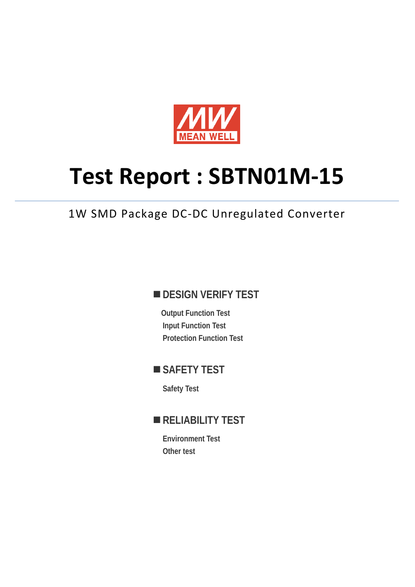

# **Test Report : SBTN01M-15**

# 1W SMD Package DC-DC Unregulated Converter

## **DESIGN VERIFY TEST**

**Output Function Test Input Function Test Protection Function Test** 

## **SAFETY TEST**

**Safety Test** 

# **RELIABILITY TEST**

**Environment Test Other test**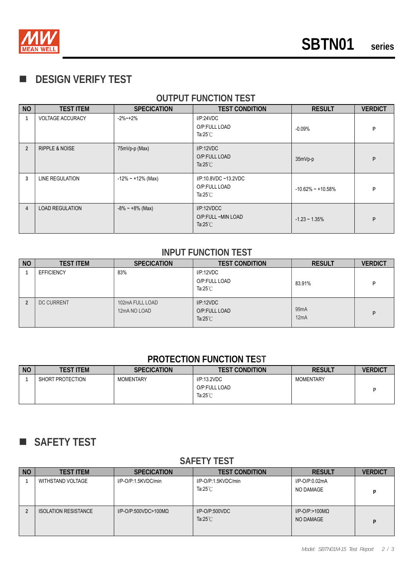

## **DESIGN VERIFY TEST**

### **OUTPUT FUNCTION TEST**

| <b>NO</b>      | <b>TEST ITEM</b>          | <b>SPECICATION</b>     | <b>TEST CONDITION</b>                                       | <b>RESULT</b>        | <b>VERDICT</b> |
|----------------|---------------------------|------------------------|-------------------------------------------------------------|----------------------|----------------|
|                | <b>VOLTAGE ACCURACY</b>   | $-2\%$ $-+2\%$         | I/P:24VDC<br>O/P:FULL LOAD<br>Ta:25 $°C$                    | $-0.09%$             | P              |
| $\overline{2}$ | <b>RIPPLE &amp; NOISE</b> | 75mVp-p (Max)          | I/P:12VDC<br>O/P:FULL LOAD<br>Ta: $25^{\circ}$ C            | 35mVp-p              | P              |
| 3              | LINE REGULATION           | $-12\% - 12\%$ (Max)   | I/P:10.8VDC ~13.2VDC<br>O/P:FULL LOAD<br>Ta: $25^{\circ}$ C | $-10.62\% - 10.58\%$ | P              |
| $\overline{4}$ | <b>LOAD REGULATION</b>    | $-8\% \sim +8\%$ (Max) | I/P:12VDCC<br>O/P:FULL ~MIN LOAD<br>Ta: $25^{\circ}$ C      | $-1.23 - 1.35%$      | P              |

#### **INPUT FUNCTION TEST**

| <b>NO</b> | <b>TEST ITEM</b>  | <b>SPECICATION</b>              | <b>TEST CONDITION</b>                           | <b>RESULT</b>             | <b>VERDICT</b> |
|-----------|-------------------|---------------------------------|-------------------------------------------------|---------------------------|----------------|
|           | <b>EFFICIENCY</b> | 83%                             | IP:12VDC<br>O/P:FULL LOAD<br>Ta: $25^{\circ}$ C | 83.91%                    |                |
|           | <b>DC CURRENT</b> | 102mA FULL LOAD<br>12mA NO LOAD | IP:12VDC<br>O/P:FULL LOAD<br>Ta: $25^{\circ}$ C | 99 <sub>m</sub> A<br>12mA |                |

#### **PROTECTION FUNCTION TEST**

| <b>NO</b> | TEST ITEM        | <b>SPECICATION</b> | <b>TEST CONDITION</b>                              | <b>RESULT</b>    | <b>VERDICT</b> |
|-----------|------------------|--------------------|----------------------------------------------------|------------------|----------------|
|           | SHORT PROTECTION | <b>MOMENTARY</b>   | I/P:13.2VDC<br>O/P:FULL LOAD<br>Ta: $25^{\circ}$ C | <b>MOMENTARY</b> |                |

# **SAFETY TEST**

#### **SAFETY TEST**

| <b>NO</b> | <b>TEST ITEM</b>            | <b>SPECICATION</b>           | <b>TEST CONDITION</b>                     | <b>RESULT</b>                          | <b>VERDICT</b> |
|-----------|-----------------------------|------------------------------|-------------------------------------------|----------------------------------------|----------------|
|           | WITHSTAND VOLTAGE           | I/P-O/P:1.5KVDC/min          | I/P-O/P:1.5KVDC/min<br>Ta: $25^{\circ}$ C | I/P-O/P:0.02mA<br>NO DAMAGE            |                |
|           | <b>ISOLATION RESISTANCE</b> | I/P-O/P:500VDC>100M $\Omega$ | $I/P$ -O/P:500VDC<br>Ta: $25^{\circ}$ C   | $I/P$ -O/P:>100M $\Omega$<br>NO DAMAGE |                |